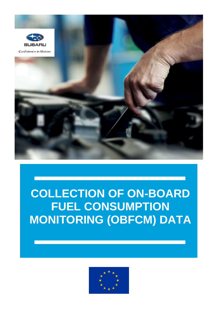

### **COLLECTION OF ON-BOARD FUEL CONSUMPTION MONITORING (OBFCM) DATA**

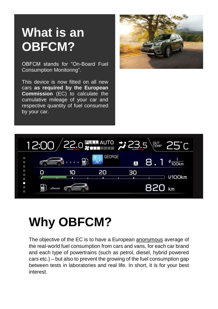# **What is an OBFCM?**

OBFCM stands for "On-Board Fuel Consumption Monitoring".

This device is now fitted on all new cars **as required by the European Commission** (EC) to calculate the cumulative mileage of your car and respective quantity of fuel consumed by your car.





# **Why OBFCM?**

The objective of the EC is to have a European anonymous average of the real-world fuel consumption from cars and vans, for each car brand and each type of powertrains (such as petrol, diesel, hybrid powered cars etc.) – but also to prevent the growing of the fuel consumption gap between tests in laboratories and real life. In short, it is for your best interest.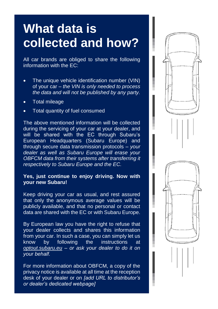## **What data is collected and how?**

All car brands are obliged to share the following information with the EC:

- The unique vehicle identification number (VIN) of your car – *the VIN is only needed to process the data and will not be published by any party.*
- Total mileage
- Total quantity of fuel consumed

The above mentioned information will be collected during the servicing of your car at your dealer, and will be shared with the EC through Subaru's European Headquarters (Subaru Europe) and through secure data transmission protocols – *your dealer as well as Subaru Europe will erase your OBFCM data from their systems after transferring it respectively to Subaru Europe and the EC.*

#### **Yes, just continue to enjoy driving. Now with your new Subaru!**

Keep driving your car as usual, and rest assured that only the anonymous average values will be publicly available, and that no personal or contact data are shared with the EC or with Subaru Europe.

By European law you have the right to refuse that your dealer collects and shares this information from your car. In such a case, you can simply let us know by following the instructions at *[optout.subaru.eu](file://///Subaru-Europe.be/se/users/pyilmaz/Documents/For%20HD/OBFCM%20Leaflet/optout.subaru.eu) – or ask your dealer to do it on your behalf.*

For more information about OBFCM, a copy of the privacy notice is available at all time at the reception desk of your dealer or on *[add URL to distributor's or dealer's dedicated webpage]*